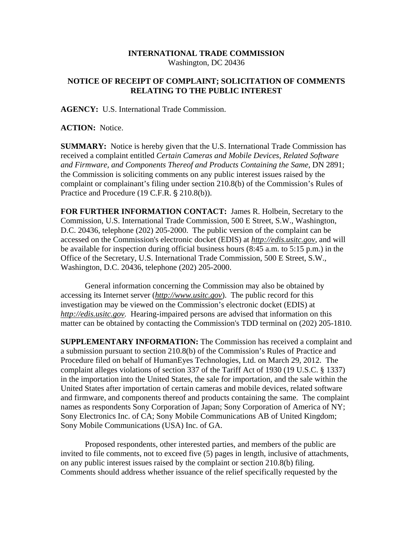## **INTERNATIONAL TRADE COMMISSION**  Washington, DC 20436

## **NOTICE OF RECEIPT OF COMPLAINT; SOLICITATION OF COMMENTS RELATING TO THE PUBLIC INTEREST**

**AGENCY:** U.S. International Trade Commission.

**ACTION:** Notice.

**SUMMARY:** Notice is hereby given that the U.S. International Trade Commission has received a complaint entitled *Certain Cameras and Mobile Devices, Related Software*  and Firmware, and Components Thereof and Products Containing the Same, DN 2891; the Commission is soliciting comments on any public interest issues raised by the complaint or complainant's filing under section 210.8(b) of the Commission's Rules of Practice and Procedure (19 C.F.R. § 210.8(b)).

**FOR FURTHER INFORMATION CONTACT:** James R. Holbein, Secretary to the Commission, U.S. International Trade Commission, 500 E Street, S.W., Washington, D.C. 20436, telephone (202) 205-2000. The public version of the complaint can be accessed on the Commission's electronic docket (EDIS) at *http://edis.usitc.gov*, and will be available for inspection during official business hours (8:45 a.m. to 5:15 p.m.) in the Office of the Secretary, U.S. International Trade Commission, 500 E Street, S.W., Washington, D.C. 20436, telephone (202) 205-2000.

General information concerning the Commission may also be obtained by accessing its Internet server (*http://www.usitc.gov*). The public record for this investigation may be viewed on the Commission's electronic docket (EDIS) at *http://edis.usitc.gov.* Hearing-impaired persons are advised that information on this matter can be obtained by contacting the Commission's TDD terminal on (202) 205-1810.

**SUPPLEMENTARY INFORMATION:** The Commission has received a complaint and a submission pursuant to section 210.8(b) of the Commission's Rules of Practice and Procedure filed on behalf of HumanEyes Technologies, Ltd. on March 29, 2012. The complaint alleges violations of section 337 of the Tariff Act of 1930 (19 U.S.C. § 1337) in the importation into the United States, the sale for importation, and the sale within the United States after importation of certain cameras and mobile devices, related software and firmware, and components thereof and products containing the same. The complaint names as respondents Sony Corporation of Japan; Sony Corporation of America of NY; Sony Electronics Inc. of CA; Sony Mobile Communications AB of United Kingdom; Sony Mobile Communications (USA) Inc. of GA.

Proposed respondents, other interested parties, and members of the public are invited to file comments, not to exceed five (5) pages in length, inclusive of attachments, on any public interest issues raised by the complaint or section 210.8(b) filing. Comments should address whether issuance of the relief specifically requested by the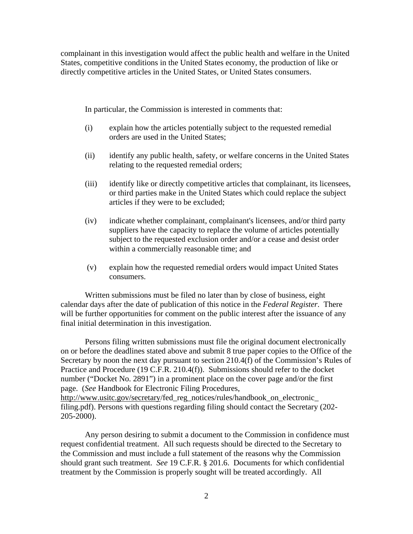complainant in this investigation would affect the public health and welfare in the United States, competitive conditions in the United States economy, the production of like or directly competitive articles in the United States, or United States consumers.

In particular, the Commission is interested in comments that:

- (i) explain how the articles potentially subject to the requested remedial orders are used in the United States;
- (ii) identify any public health, safety, or welfare concerns in the United States relating to the requested remedial orders;
- (iii) identify like or directly competitive articles that complainant, its licensees, or third parties make in the United States which could replace the subject articles if they were to be excluded;
- (iv) indicate whether complainant, complainant's licensees, and/or third party suppliers have the capacity to replace the volume of articles potentially subject to the requested exclusion order and/or a cease and desist order within a commercially reasonable time; and
- (v) explain how the requested remedial orders would impact United States consumers.

Written submissions must be filed no later than by close of business, eight calendar days after the date of publication of this notice in the *Federal Register*. There will be further opportunities for comment on the public interest after the issuance of any final initial determination in this investigation.

Persons filing written submissions must file the original document electronically on or before the deadlines stated above and submit 8 true paper copies to the Office of the Secretary by noon the next day pursuant to section 210.4(f) of the Commission's Rules of Practice and Procedure (19 C.F.R. 210.4(f)). Submissions should refer to the docket number ("Docket No. 2891") in a prominent place on the cover page and/or the first page. (*See* Handbook for Electronic Filing Procedures, http://www.usitc.gov/secretary/fed\_reg\_notices/rules/handbook\_on\_electronic\_ filing.pdf). Persons with questions regarding filing should contact the Secretary (202- 205-2000).

Any person desiring to submit a document to the Commission in confidence must request confidential treatment. All such requests should be directed to the Secretary to the Commission and must include a full statement of the reasons why the Commission should grant such treatment. *See* 19 C.F.R. § 201.6. Documents for which confidential treatment by the Commission is properly sought will be treated accordingly. All